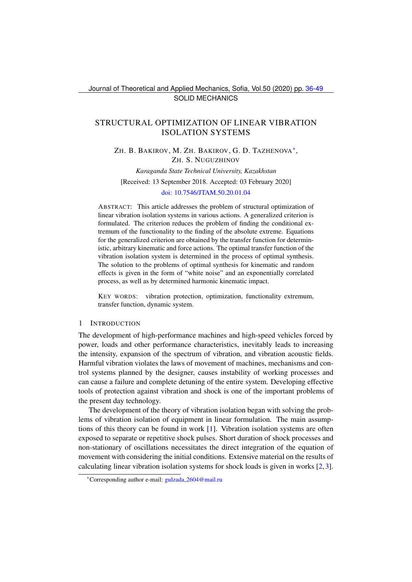Journal of Theoretical and Applied Mechanics, Sofia, Vol.50 (2020) pp. [36-](#page-0-0)[49](#page-13-0) SOLID MECHANICS

# <span id="page-0-0"></span>STRUCTURAL OPTIMIZATION OF LINEAR VIBRATION ISOLATION SYSTEMS

ZH. B. BAKIROV, M. ZH. BAKIROV, G. D. TAZHENOVA<sup>\*</sup>, ZH. S. NUGUZHINOV

*Karaganda State Technical University, Kazakhstan* [Received: 13 September 2018. Accepted: 03 February 2020]

## [doi: 10.7546/JTAM.50.20.01.04](https://doi.org/10.7546/JTAM.50.20.01.04)

ABSTRACT: This article addresses the problem of structural optimization of linear vibration isolation systems in various actions. A generalized criterion is formulated. The criterion reduces the problem of finding the conditional extremum of the functionality to the finding of the absolute extreme. Equations for the generalized criterion are obtained by the transfer function for deterministic, arbitrary kinematic and force actions. The optimal transfer function of the vibration isolation system is determined in the process of optimal synthesis. The solution to the problems of optimal synthesis for kinematic and random effects is given in the form of "white noise" and an exponentially correlated process, as well as by determined harmonic kinematic impact.

KEY WORDS: vibration protection, optimization, functionality extremum, transfer function, dynamic system.

### 1 INTRODUCTION

The development of high-performance machines and high-speed vehicles forced by power, loads and other performance characteristics, inevitably leads to increasing the intensity, expansion of the spectrum of vibration, and vibration acoustic fields. Harmful vibration violates the laws of movement of machines, mechanisms and control systems planned by the designer, causes instability of working processes and can cause a failure and complete detuning of the entire system. Developing effective tools of protection against vibration and shock is one of the important problems of the present day technology.

The development of the theory of vibration isolation began with solving the problems of vibration isolation of equipment in linear formulation. The main assumptions of this theory can be found in work [\[1\]](#page-12-0). Vibration isolation systems are often exposed to separate or repetitive shock pulses. Short duration of shock processes and non-stationary of oscillations necessitates the direct integration of the equation of movement with considering the initial conditions. Extensive material on the results of calculating linear vibration isolation systems for shock loads is given in works [\[2,](#page-12-1)[3\]](#page-12-2).

<span id="page-0-1"></span><sup>∗</sup>Corresponding author e-mail: gulzada [2604@mail.ru](mailto:gulzada_2604@mail.ru)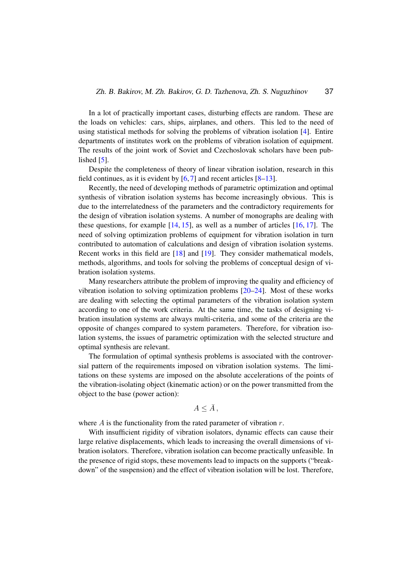In a lot of practically important cases, disturbing effects are random. These are the loads on vehicles: cars, ships, airplanes, and others. This led to the need of using statistical methods for solving the problems of vibration isolation [\[4\]](#page-12-3). Entire departments of institutes work on the problems of vibration isolation of equipment. The results of the joint work of Soviet and Czechoslovak scholars have been published [\[5\]](#page-12-4).

Despite the completeness of theory of linear vibration isolation, research in this field continues, as it is evident by  $[6, 7]$  $[6, 7]$  $[6, 7]$  and recent articles  $[8-13]$  $[8-13]$ .

Recently, the need of developing methods of parametric optimization and optimal synthesis of vibration isolation systems has become increasingly obvious. This is due to the interrelatedness of the parameters and the contradictory requirements for the design of vibration isolation systems. A number of monographs are dealing with these questions, for example  $[14, 15]$  $[14, 15]$  $[14, 15]$ , as well as a number of articles  $[16, 17]$  $[16, 17]$  $[16, 17]$ . The need of solving optimization problems of equipment for vibration isolation in turn contributed to automation of calculations and design of vibration isolation systems. Recent works in this field are [\[18\]](#page-13-4) and [\[19\]](#page-13-5). They consider mathematical models, methods, algorithms, and tools for solving the problems of conceptual design of vibration isolation systems.

Many researchers attribute the problem of improving the quality and efficiency of vibration isolation to solving optimization problems [\[20](#page-13-6)[–24\]](#page-13-7). Most of these works are dealing with selecting the optimal parameters of the vibration isolation system according to one of the work criteria. At the same time, the tasks of designing vibration insulation systems are always multi-criteria, and some of the criteria are the opposite of changes compared to system parameters. Therefore, for vibration isolation systems, the issues of parametric optimization with the selected structure and optimal synthesis are relevant.

The formulation of optimal synthesis problems is associated with the controversial pattern of the requirements imposed on vibration isolation systems. The limitations on these systems are imposed on the absolute accelerations of the points of the vibration-isolating object (kinematic action) or on the power transmitted from the object to the base (power action):

# $A < \bar{A}$ ,

where  $A$  is the functionality from the rated parameter of vibration  $r$ .

With insufficient rigidity of vibration isolators, dynamic effects can cause their large relative displacements, which leads to increasing the overall dimensions of vibration isolators. Therefore, vibration isolation can become practically unfeasible. In the presence of rigid stops, these movements lead to impacts on the supports ("breakdown" of the suspension) and the effect of vibration isolation will be lost. Therefore,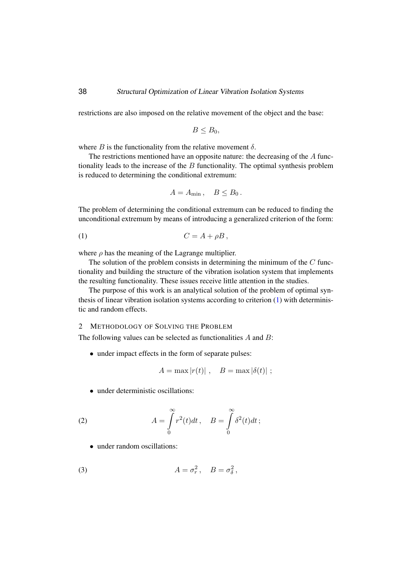restrictions are also imposed on the relative movement of the object and the base:

$$
B\leq B_0,
$$

where  $B$  is the functionality from the relative movement  $\delta$ .

The restrictions mentioned have an opposite nature: the decreasing of the A functionality leads to the increase of the  $B$  functionality. The optimal synthesis problem is reduced to determining the conditional extremum:

<span id="page-2-0"></span>
$$
A = A_{\min}, \quad B \leq B_0.
$$

The problem of determining the conditional extremum can be reduced to finding the unconditional extremum by means of introducing a generalized criterion of the form:

$$
(1) \tC = A + \rho B,
$$

where  $\rho$  has the meaning of the Lagrange multiplier.

The solution of the problem consists in determining the minimum of the  $C$  functionality and building the structure of the vibration isolation system that implements the resulting functionality. These issues receive little attention in the studies.

The purpose of this work is an analytical solution of the problem of optimal synthesis of linear vibration isolation systems according to criterion [\(1\)](#page-2-0) with deterministic and random effects.

2 METHODOLOGY OF SOLVING THE PROBLEM

The following values can be selected as functionalities A and B:

• under impact effects in the form of separate pulses:

<span id="page-2-1"></span>
$$
A = \max |r(t)| \ , \quad B = \max |\delta(t)| \ ;
$$

• under deterministic oscillations:

(2) 
$$
A = \int_{0}^{\infty} r^{2}(t)dt, \quad B = \int_{0}^{\infty} \delta^{2}(t)dt;
$$

<span id="page-2-2"></span>• under random oscillations:

(3) 
$$
A = \sigma_r^2, \quad B = \sigma_\delta^2,
$$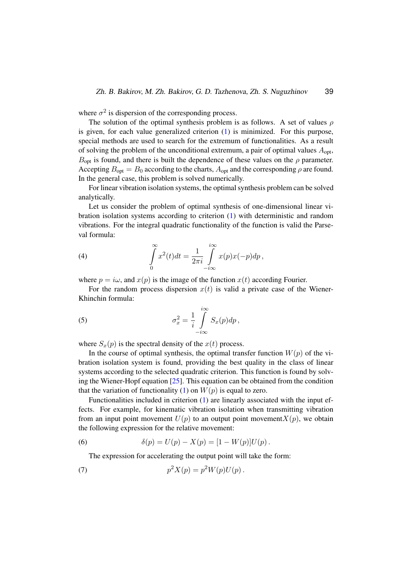where  $\sigma^2$  is dispersion of the corresponding process.

The solution of the optimal synthesis problem is as follows. A set of values  $\rho$ is given, for each value generalized criterion [\(1\)](#page-2-0) is minimized. For this purpose, special methods are used to search for the extremum of functionalities. As a result of solving the problem of the unconditional extremum, a pair of optimal values  $A_{\text{opt}}$ ,  $B_{\text{opt}}$  is found, and there is built the dependence of these values on the  $\rho$  parameter. Accepting  $B_{\text{opt}} = B_0$  according to the charts,  $A_{\text{opt}}$  and the corresponding  $\rho$  are found. In the general case, this problem is solved numerically.

For linear vibration isolation systems, the optimal synthesis problem can be solved analytically.

Let us consider the problem of optimal synthesis of one-dimensional linear vibration isolation systems according to criterion [\(1\)](#page-2-0) with deterministic and random vibrations. For the integral quadratic functionality of the function is valid the Parseval formula:

<span id="page-3-0"></span>(4) 
$$
\int_{0}^{\infty} x^{2}(t)dt = \frac{1}{2\pi i} \int_{-i\infty}^{i\infty} x(p)x(-p)dp,
$$

where  $p = i\omega$ , and  $x(p)$  is the image of the function  $x(t)$  according Fourier.

For the random process dispersion  $x(t)$  is valid a private case of the Wiener-Khinchin formula:

(5) 
$$
\sigma_x^2 = \frac{1}{i} \int_{-i\infty}^{i\infty} S_x(p) dp,
$$

where  $S_x(p)$  is the spectral density of the  $x(t)$  process.

In the course of optimal synthesis, the optimal transfer function  $W(p)$  of the vibration isolation system is found, providing the best quality in the class of linear systems according to the selected quadratic criterion. This function is found by solving the Wiener-Hopf equation [\[25\]](#page-13-8). This equation can be obtained from the condition that the variation of functionality [\(1\)](#page-2-0) on  $W(p)$  is equal to zero.

Functionalities included in criterion [\(1\)](#page-2-0) are linearly associated with the input effects. For example, for kinematic vibration isolation when transmitting vibration from an input point movement  $U(p)$  to an output point movement  $X(p)$ , we obtain the following expression for the relative movement:

(6) 
$$
\delta(p) = U(p) - X(p) = [1 - W(p)]U(p).
$$

<span id="page-3-1"></span>The expression for accelerating the output point will take the form:

(7) 
$$
p^2 X(p) = p^2 W(p) U(p).
$$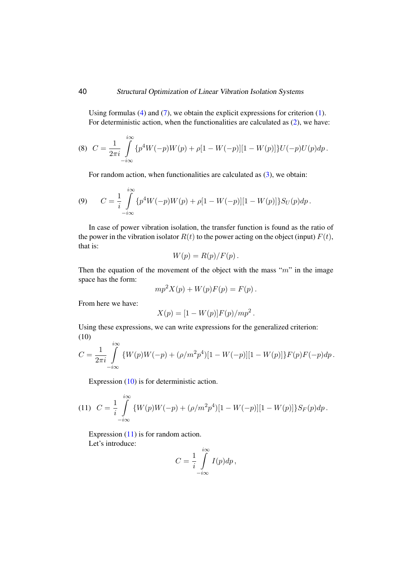# 40 Structural Optimization of Linear Vibration Isolation Systems

Using formulas [\(4\)](#page-3-0) and [\(7\)](#page-3-1), we obtain the explicit expressions for criterion [\(1\)](#page-2-0). For deterministic action, when the functionalities are calculated as [\(2\)](#page-2-1), we have:

<span id="page-4-3"></span>(8) 
$$
C = \frac{1}{2\pi i} \int_{-i\infty}^{i\infty} \{p^4 W(-p)W(p) + \rho[1 - W(-p)][1 - W(p)]\}U(-p)U(p)dp.
$$

For random action, when functionalities are calculated as  $(3)$ , we obtain:

<span id="page-4-2"></span>(9) 
$$
C = \frac{1}{i} \int_{-i\infty}^{i\infty} {\{p^4W(-p)W(p) + \rho[1 - W(-p)][1 - W(p)]\} S_U(p) dp}.
$$

In case of power vibration isolation, the transfer function is found as the ratio of the power in the vibration isolator  $R(t)$  to the power acting on the object (input)  $F(t)$ , that is:

$$
W(p) = R(p)/F(p).
$$

Then the equation of the movement of the object with the mass " $m$ " in the image space has the form:

$$
mp2X(p) + W(p)F(p) = F(p).
$$

From here we have:

$$
X(p) = [1 - W(p)]F(p)/mp2.
$$

Using these expressions, we can write expressions for the generalized criterion: (10)

<span id="page-4-0"></span>
$$
C = \frac{1}{2\pi i} \int_{-i\infty}^{i\infty} \{ W(p)W(-p) + (\rho/m^2p^4)[1 - W(-p)][1 - W(p)] \} F(p)F(-p)dp.
$$

Expression [\(10\)](#page-4-0) is for deterministic action.

<span id="page-4-1"></span>(11) 
$$
C = \frac{1}{i} \int_{-i\infty}^{i\infty} \{W(p)W(-p) + (\rho/m^2p^4)[1 - W(-p)][1 - W(p)]\}S_F(p)dp.
$$

Expression  $(11)$  is for random action. Let's introduce:

$$
C = \frac{1}{i} \int_{-i\infty}^{i\infty} I(p) dp,
$$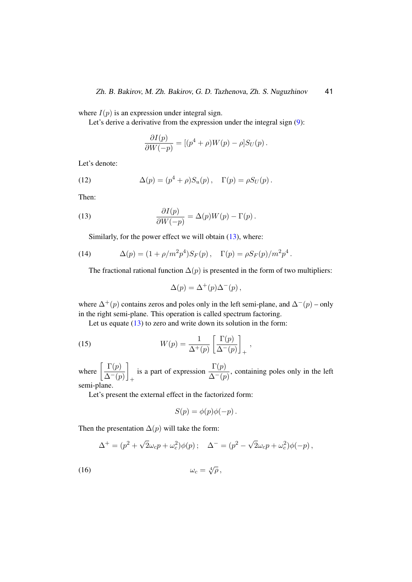where  $I(p)$  is an expression under integral sign.

Let's derive a derivative from the expression under the integral sign  $(9)$ :

$$
\frac{\partial I(p)}{\partial W(-p)} = [(p^4 + \rho)W(p) - \rho]S_U(p).
$$

Let's denote:

(12) 
$$
\Delta(p) = (p^4 + \rho)S_u(p), \quad \Gamma(p) = \rho S_U(p).
$$

Then:

(13) 
$$
\frac{\partial I(p)}{\partial W(-p)} = \Delta(p)W(p) - \Gamma(p).
$$

<span id="page-5-1"></span><span id="page-5-0"></span>Similarly, for the power effect we will obtain [\(13\)](#page-5-0), where:

(14) 
$$
\Delta(p) = (1 + \rho/m^2 p^4) S_F(p), \quad \Gamma(p) = \rho S_F(p) / m^2 p^4.
$$

The fractional rational function  $\Delta(p)$  is presented in the form of two multipliers:

<span id="page-5-3"></span>
$$
\Delta(p) = \Delta^+(p)\Delta^-(p) ,
$$

where  $\Delta^+(p)$  contains zeros and poles only in the left semi-plane, and  $\Delta^-(p)$  – only in the right semi-plane. This operation is called spectrum factoring.

Let us equate [\(13\)](#page-5-0) to zero and write down its solution in the form:

(15) 
$$
W(p) = \frac{1}{\Delta^+(p)} \left[ \frac{\Gamma(p)}{\Delta^-(p)} \right]_+,
$$

where  $\frac{\Gamma(p)}{\Delta - 1}$  $\Delta^{-}(p)$ 1 + is a part of expression  $\frac{\Gamma(p)}{\Delta^-(p)}$ , containing poles only in the left semi-plane.

Let's present the external effect in the factorized form:

<span id="page-5-2"></span>
$$
S(p) = \phi(p)\phi(-p) .
$$

Then the presentation  $\Delta(p)$  will take the form:

$$
\Delta^+ = (p^2 + \sqrt{2}\omega_c p + \omega_c^2)\phi(p); \quad \Delta^- = (p^2 - \sqrt{2}\omega_c p + \omega_c^2)\phi(-p),
$$

$$
\omega_c = \sqrt[4]{\rho},
$$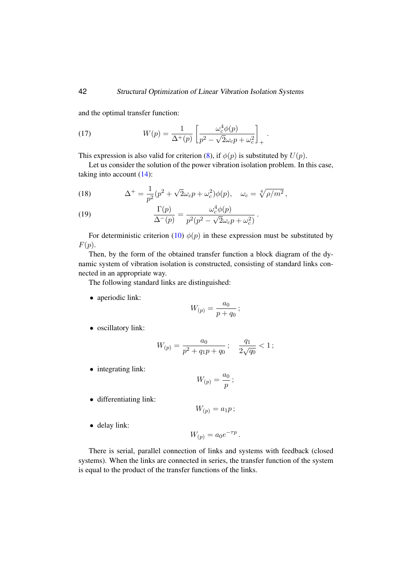and the optimal transfer function:

<span id="page-6-1"></span>(17) 
$$
W(p) = \frac{1}{\Delta^+(p)} \left[ \frac{\omega_c^4 \phi(p)}{p^2 - \sqrt{2}\omega_c p + \omega_c^2} \right]_+.
$$

This expression is also valid for criterion [\(8\)](#page-4-3), if  $\phi(p)$  is substituted by  $U(p)$ .

Let us consider the solution of the power vibration isolation problem. In this case, taking into account [\(14\)](#page-5-1):

<span id="page-6-2"></span>(18) 
$$
\Delta^{+} = \frac{1}{p^{2}}(p^{2} + \sqrt{2}\omega_{c}p + \omega_{c}^{2})\phi(p), \quad \omega_{c} = \sqrt[4]{\rho/m^{2}},
$$

<span id="page-6-0"></span>(19) 
$$
\frac{\Gamma(p)}{\Delta^-(p)} = \frac{\omega_c^4 \phi(p)}{p^2 (p^2 - \sqrt{2} \omega_c p + \omega_c^2)}.
$$

For deterministic criterion [\(10\)](#page-4-0)  $\phi(p)$  in these expression must be substituted by  $F(p).$ 

Then, by the form of the obtained transfer function a block diagram of the dynamic system of vibration isolation is constructed, consisting of standard links connected in an appropriate way.

The following standard links are distinguished:

• aperiodic link:

$$
W_{(p)} = \frac{a_0}{p + q_0} \, ;
$$

• oscillatory link:

$$
W_{(p)} = \frac{a_0}{p^2 + q_1 p + q_0} \, ; \quad \frac{q_1}{2\sqrt{q_0}} < 1 \, ;
$$

• integrating link:

$$
W_{(p)} = \frac{a_0}{p} \, ;
$$

• differentiating link:

 $W_{(p)} = a_1 p;$ 

• delay link:

$$
W_{(p)} = a_0 e^{-\tau p}.
$$

There is serial, parallel connection of links and systems with feedback (closed systems). When the links are connected in series, the transfer function of the system is equal to the product of the transfer functions of the links.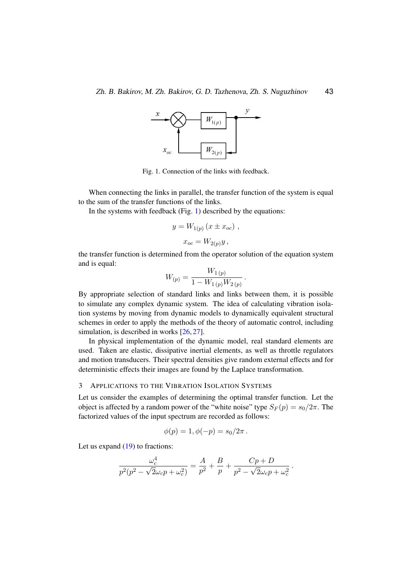

<span id="page-7-0"></span>Fig. 1. Connection of the links with feedback.

When connecting the links in parallel, the transfer function of the system is equal to the sum of the transfer functions of the links.

In the systems with feedback (Fig. [1\)](#page-7-0) described by the equations:

$$
y = W_{1(p)} (x \pm x_{oc}),
$$
  

$$
x_{oc} = W_{2(p)} y,
$$

the transfer function is determined from the operator solution of the equation system and is equal:

$$
W_{(p)} = \frac{W_{1\,(p)}}{1 - W_{1\,(p)} W_{2\,(p)}}.
$$

By appropriate selection of standard links and links between them, it is possible to simulate any complex dynamic system. The idea of calculating vibration isolation systems by moving from dynamic models to dynamically equivalent structural schemes in order to apply the methods of the theory of automatic control, including simulation, is described in works  $[26, 27]$  $[26, 27]$  $[26, 27]$ .

In physical implementation of the dynamic model, real standard elements are used. Taken are elastic, dissipative inertial elements, as well as throttle regulators and motion transducers. Their spectral densities give random external effects and for deterministic effects their images are found by the Laplace transformation.

### 3 APPLICATIONS TO THE VIBRATION ISOLATION SYSTEMS

Let us consider the examples of determining the optimal transfer function. Let the object is affected by a random power of the "white noise" type  $S_F(p) = s_0/2\pi$ . The factorized values of the input spectrum are recorded as follows:

$$
\phi(p) = 1, \phi(-p) = s_0/2\pi.
$$

Let us expand  $(19)$  to fractions:

$$
\frac{\omega_c^4}{p^2(p^2-\sqrt{2}\omega_c p+\omega_c^2)}=\frac{A}{p^2}+\frac{B}{p}+\frac{Cp+D}{p^2-\sqrt{2}\omega_c p+\omega_c^2}.
$$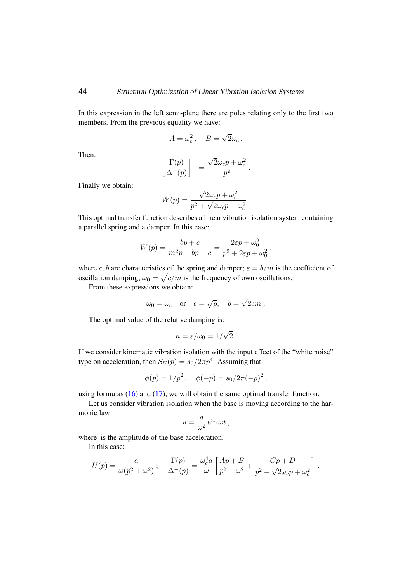In this expression in the left semi-plane there are poles relating only to the first two members. From the previous equality we have:

$$
A = \omega_c^2, \quad B = \sqrt{2}\omega_c.
$$

Then:

$$
\left[\frac{\Gamma(p)}{\Delta^-(p)}\right]_+ = \frac{\sqrt{2}\omega_c p + \omega_c^2}{p^2}.
$$

Finally we obtain:

$$
W(p) = \frac{\sqrt{2}\omega_c p + \omega_c^2}{p^2 + \sqrt{2}\omega_c p + \omega_c^2}.
$$

This optimal transfer function describes a linear vibration isolation system containing a parallel spring and a damper. In this case:

$$
W(p) = \frac{bp + c}{m^2p + bp + c} = \frac{2\varepsilon p + \omega_0^2}{p^2 + 2\varepsilon p + \omega_0^2},
$$

where c, b are characteristics of the spring and damper;  $\varepsilon = b/m$  is the coefficient of oscillation damping;  $\omega_0 = \sqrt{c/m}$  is the frequency of own oscillations.

From these expressions we obtain:

$$
\omega_0 = \omega_c
$$
 or  $c = \sqrt{\rho}$ ;  $b = \sqrt{2cm}$ .

The optimal value of the relative damping is:

$$
n = \varepsilon/\omega_0 = 1/\sqrt{2} \, .
$$

If we consider kinematic vibration isolation with the input effect of the "white noise" type on acceleration, then  $S_U(p) = s_0/2\pi p^4$ . Assuming that:

$$
\phi(p) = 1/p^2
$$
,  $\phi(-p) = s_0/2\pi(-p)^2$ ,

using formulas  $(16)$  and  $(17)$ , we will obtain the same optimal transfer function.

Let us consider vibration isolation when the base is moving according to the harmonic law

$$
u = \frac{a}{\omega^2} \sin \omega t \,,
$$

where is the amplitude of the base acceleration.

In this case:

$$
U(p) = \frac{a}{\omega(p^2 + \omega^2)}; \quad \frac{\Gamma(p)}{\Delta^-(p)} = \frac{\omega_c^4 a}{\omega} \left[ \frac{Ap + B}{p^2 + \omega^2} + \frac{Cp + D}{p^2 - \sqrt{2}\omega_c p + \omega_c^2} \right].
$$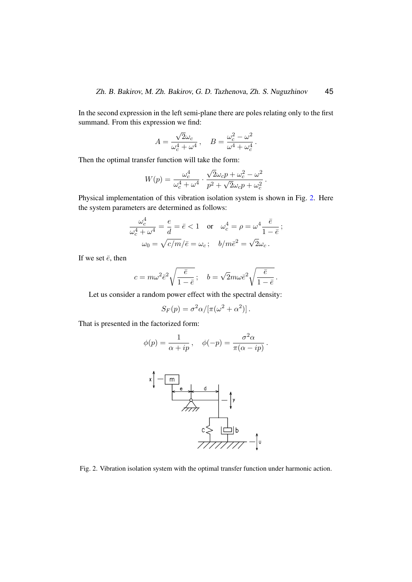In the second expression in the left semi-plane there are poles relating only to the first summand. From this expression we find:

$$
A = \frac{\sqrt{2}\omega_c}{\omega_c^4 + \omega^4}, \quad B = \frac{\omega_c^2 - \omega^2}{\omega^4 + \omega_c^4}.
$$

Then the optimal transfer function will take the form:

$$
W(p) = \frac{\omega_c^4}{\omega_c^4 + \omega^4} \cdot \frac{\sqrt{2}\omega_c p + \omega_c^2 - \omega^2}{p^2 + \sqrt{2}\omega_c p + \omega_c^2}.
$$

Physical implementation of this vibration isolation system is shown in Fig. [2.](#page-9-0) Here the system parameters are determined as follows:

$$
\frac{\omega_c^4}{\omega_c^4 + \omega^4} = \frac{e}{d} = \bar{e} < 1 \quad \text{or} \quad \omega_c^4 = \rho = \omega^4 \frac{\bar{e}}{1 - \bar{e}} \, ;
$$
\n
$$
\omega_0 = \sqrt{c/m}/\bar{e} = \omega_c \, ; \quad b/m\bar{e}^2 = \sqrt{2\omega_c} \, .
$$

If we set  $\bar{e}$ , then

$$
c = m\omega^2 \bar{e}^2 \sqrt{\frac{\bar{e}}{1-\bar{e}}}; \quad b = \sqrt{2}m\omega \bar{e}^2 \sqrt{\frac{\bar{e}}{1-\bar{e}}}.
$$

Let us consider a random power effect with the spectral density:

$$
S_F(p) = \sigma^2 \alpha / [\pi(\omega^2 + \alpha^2)].
$$

That is presented in the factorized form:

$$
\phi(p) = \frac{1}{\alpha + ip}, \quad \phi(-p) = \frac{\sigma^2 \alpha}{\pi(\alpha - ip)}.
$$



<span id="page-9-0"></span>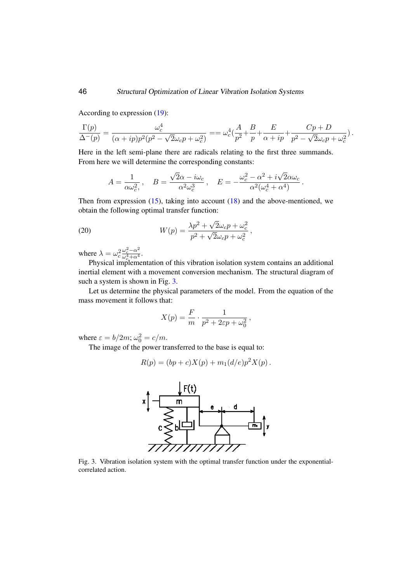According to expression [\(19\)](#page-6-0):

$$
\frac{\Gamma(p)}{\Delta^-(p)}=\frac{\omega_c^4}{(\alpha+ip)p^2(p^2-\sqrt{2}\omega_c p+\omega_c^2)}= =\omega_c^4(\frac{A}{p^2}+\frac{B}{p}+\frac{E}{\alpha+ip}+\frac{Cp+D}{p^2-\sqrt{2}\omega_c p+\omega_c^2}).
$$

Here in the left semi-plane there are radicals relating to the first three summands. From here we will determine the corresponding constants:

<span id="page-10-1"></span>
$$
A = \frac{1}{\alpha \omega_c^2}, \quad B = \frac{\sqrt{2\alpha - i\omega_c}}{\alpha^2 \omega_c^3}, \quad E = -\frac{\omega_c^2 - \alpha^2 + i\sqrt{2}\alpha\omega_c}{\alpha^2(\omega_c^4 + \alpha^4)}.
$$

Then from expression  $(15)$ , taking into account  $(18)$  and the above-mentioned, we obtain the following optimal transfer function:

(20) 
$$
W(p) = \frac{\lambda p^2 + \sqrt{2}\omega_c p + \omega_c^2}{p^2 + \sqrt{2}\omega_c p + \omega_c^2},
$$

where  $\lambda = \omega_c^2$  $\omega_c^2 - \alpha^2$  $\frac{\omega_c - \alpha^2}{\omega_c^4 + \alpha^4}$ .

Physical implementation of this vibration isolation system contains an additional inertial element with a movement conversion mechanism. The structural diagram of such a system is shown in Fig. [3.](#page-10-0)

Let us determine the physical parameters of the model. From the equation of the mass movement it follows that:

$$
X(p) = \frac{F}{m} \cdot \frac{1}{p^2 + 2\varepsilon p + \omega_0^2},
$$

where  $\varepsilon = b/2m$ ;  $\omega_0^2 = c/m$ .

The image of the power transferred to the base is equal to:

$$
R(p) = (bp + c)X(p) + m_1(d/e)p^2X(p).
$$



<span id="page-10-0"></span>Fig. 3. Vibration isolation system with the optimal transfer function under the exponentialcorrelated action.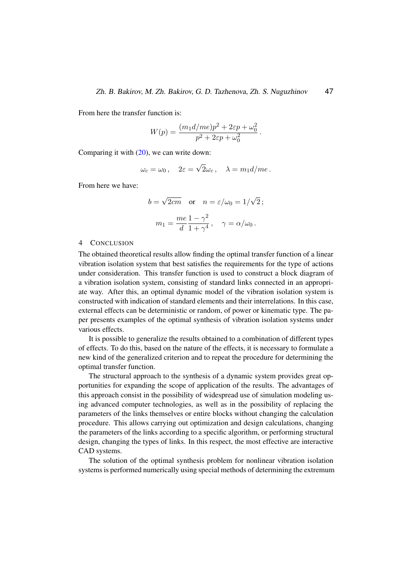.

From here the transfer function is:

$$
W(p) = \frac{(m_1 d /me)p^2 + 2\varepsilon p + \omega_0^2}{p^2 + 2\varepsilon p + \omega_0^2}
$$

Comparing it with [\(20\)](#page-10-1), we can write down:

$$
\omega_c = \omega_0
$$
,  $2\varepsilon = \sqrt{2}\omega_c$ ,  $\lambda = m_1 d/me$ .

From here we have:

$$
b = \sqrt{2cm}
$$
 or  $n = \varepsilon/\omega_0 = 1/\sqrt{2}$ ;  
\n $m_1 = \frac{me}{d} \frac{1 - \gamma^2}{1 + \gamma^4}$ ,  $\gamma = \alpha/\omega_0$ .

#### 4 CONCLUSION

The obtained theoretical results allow finding the optimal transfer function of a linear vibration isolation system that best satisfies the requirements for the type of actions under consideration. This transfer function is used to construct a block diagram of a vibration isolation system, consisting of standard links connected in an appropriate way. After this, an optimal dynamic model of the vibration isolation system is constructed with indication of standard elements and their interrelations. In this case, external effects can be deterministic or random, of power or kinematic type. The paper presents examples of the optimal synthesis of vibration isolation systems under various effects.

It is possible to generalize the results obtained to a combination of different types of effects. To do this, based on the nature of the effects, it is necessary to formulate a new kind of the generalized criterion and to repeat the procedure for determining the optimal transfer function.

The structural approach to the synthesis of a dynamic system provides great opportunities for expanding the scope of application of the results. The advantages of this approach consist in the possibility of widespread use of simulation modeling using advanced computer technologies, as well as in the possibility of replacing the parameters of the links themselves or entire blocks without changing the calculation procedure. This allows carrying out optimization and design calculations, changing the parameters of the links according to a specific algorithm, or performing structural design, changing the types of links. In this respect, the most effective are interactive CAD systems.

The solution of the optimal synthesis problem for nonlinear vibration isolation systems is performed numerically using special methods of determining the extremum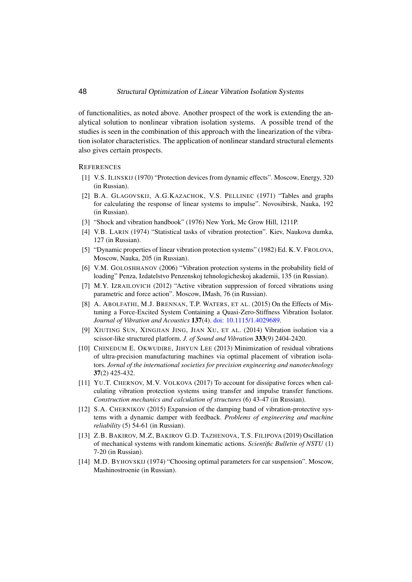## 48 Structural Optimization of Linear Vibration Isolation Systems

of functionalities, as noted above. Another prospect of the work is extending the analytical solution to nonlinear vibration isolation systems. A possible trend of the studies is seen in the combination of this approach with the linearization of the vibration isolator characteristics. The application of nonlinear standard structural elements also gives certain prospects.

#### <span id="page-12-0"></span>**REFERENCES**

- [1] V.S. ILINSKIJ (1970) "Protection devices from dynamic effects". Moscow, Energy, 320 (in Russian).
- <span id="page-12-1"></span>[2] B.A. GLAGOVSKIJ, A.G.KAZACHOK, V.S. PELLINEC (1971) "Tables and graphs for calculating the response of linear systems to impulse". Novosibirsk, Nauka, 192 (in Russian).
- <span id="page-12-2"></span>[3] "Shock and vibration handbook" (1976) New York, Mc Grow Hill, 1211P.
- <span id="page-12-3"></span>[4] V.B. LARIN (1974) "Statistical tasks of vibration protection". Kiev, Naukova dumka, 127 (in Russian).
- <span id="page-12-4"></span>[5] "Dynamic properties of linear vibration protection systems" (1982) Ed. K.V. FROLOVA, Moscow, Nauka, 205 (in Russian).
- <span id="page-12-5"></span>[6] V.M. GOLOSHHANOV (2006) "Vibration protection systems in the probability field of loading" Penza, Izdatelstvo Penzenskoj tehnologicheskoj akademii, 135 (in Russian).
- <span id="page-12-6"></span>[7] M.Y. IZRAILOVICH (2012) "Active vibration suppression of forced vibrations using parametric and force action". Moscow, IMash, 76 (in Russian).
- <span id="page-12-7"></span>[8] A. ABOLFATHI, M.J. BRENNAN, T.P. WATERS, ET AL. (2015) On the Effects of Mistuning a Force-Excited System Containing a Quasi-Zero-Stiffness Vibration Isolator. *Journal of Vibration and Acoustics* 137(4). [doi: 10.1115/1.4029689.](https://asmedigitalcollection.asme.org/vibrationacoustics/article-abstract/137/4/044502/392320/On-the-Effects-of-Mistuning-a-Force-Excited-System?redirectedFrom=fulltext)
- [9] XIUTING SUN, XINGJIAN JING, JIAN XU, ET AL. (2014) Vibration isolation via a scissor-like structured platform. *J. of Sound and Vibration* 333(9) 2404-2420.
- [10] CHINEDUM E. OKWUDIRE, JIHYUN LEE (2013) Minimization of residual vibrations of ultra-precision manufacturing machines via optimal placement of vibration isolators. *Jornal of the international societies for precision engineering and nanotechnology* 37(2) 425-432.
- [11] YU.T. CHERNOV, M.V. VOLKOVA (2017) To account for dissipative forces when calculating vibration protection systems using transfer and impulse transfer functions. *Construction mechanics and calculation of structures* (6) 43-47 (in Russian).
- [12] S.A. CHERNIKOV (2015) Expansion of the damping band of vibration-protective systems with a dynamic damper with feedback. *Problems of engineering and machine reliability* (5) 54-61 (in Russian).
- <span id="page-12-8"></span>[13] Z.B. BAKIROV, M.Z, BAKIROV G.D. TAZHENOVA, T.S. FILIPOVA (2019) Oscillation of mechanical systems with random kinematic actions. *Scientific Bulletin of NSTU* (1) 7-20 (in Russian).
- <span id="page-12-9"></span>[14] M.D. BYHOVSKIJ (1974) "Choosing optimal parameters for car suspension". Moscow, Mashinostroenie (in Russian).